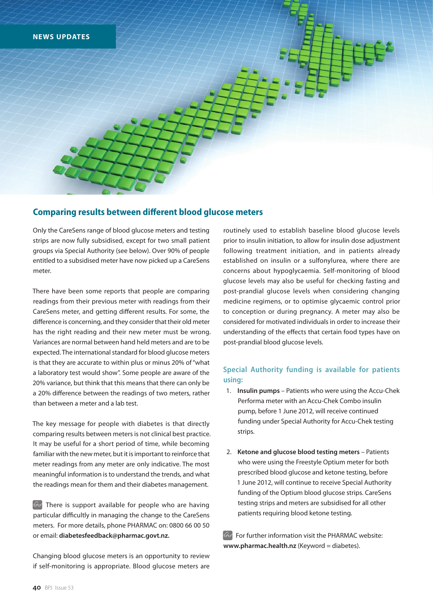

### **Comparing results between different blood glucose meters**

Only the CareSens range of blood glucose meters and testing strips are now fully subsidised, except for two small patient groups via Special Authority (see below). Over 90% of people entitled to a subsidised meter have now picked up a CareSens meter.

There have been some reports that people are comparing readings from their previous meter with readings from their CareSens meter, and getting different results. For some, the difference is concerning, and they consider that their old meter has the right reading and their new meter must be wrong. Variances are normal between hand held meters and are to be expected. The international standard for blood glucose meters is that they are accurate to within plus or minus 20% of "what a laboratory test would show". Some people are aware of the 20% variance, but think that this means that there can only be a 20% difference between the readings of two meters, rather than between a meter and a lab test.

The key message for people with diabetes is that directly comparing results between meters is not clinical best practice. It may be useful for a short period of time, while becoming familiar with the new meter, but it is important to reinforce that meter readings from any meter are only indicative. The most meaningful information is to understand the trends, and what the readings mean for them and their diabetes management.

 $\Theta$  There is support available for people who are having particular difficultly in managing the change to the CareSens meters. For more details, phone PHARMAC on: 0800 66 00 50 or email: **diabetesfeedback@pharmac.govt.nz.** 

Changing blood glucose meters is an opportunity to review if self-monitoring is appropriate. Blood glucose meters are routinely used to establish baseline blood glucose levels prior to insulin initiation, to allow for insulin dose adjustment following treatment initiation, and in patients already established on insulin or a sulfonylurea, where there are concerns about hypoglycaemia. Self-monitoring of blood glucose levels may also be useful for checking fasting and post-prandial glucose levels when considering changing medicine regimens, or to optimise glycaemic control prior to conception or during pregnancy. A meter may also be considered for motivated individuals in order to increase their understanding of the effects that certain food types have on post-prandial blood glucose levels.

#### **Special Authority funding is available for patients using:**

- 1. **Insulin pumps** Patients who were using the Accu-Chek Performa meter with an Accu-Chek Combo insulin pump, before 1 June 2012, will receive continued funding under Special Authority for Accu-Chek testing strips.
- 2. **Ketone and glucose blood testing meters** Patients who were using the Freestyle Optium meter for both prescribed blood glucose and ketone testing, before 1 June 2012, will continue to receive Special Authority funding of the Optium blood glucose strips. CareSens testing strips and meters are subsidised for all other patients requiring blood ketone testing.

For further information visit the PHARMAC website: **www.pharmac.health.nz** (Keyword = diabetes).